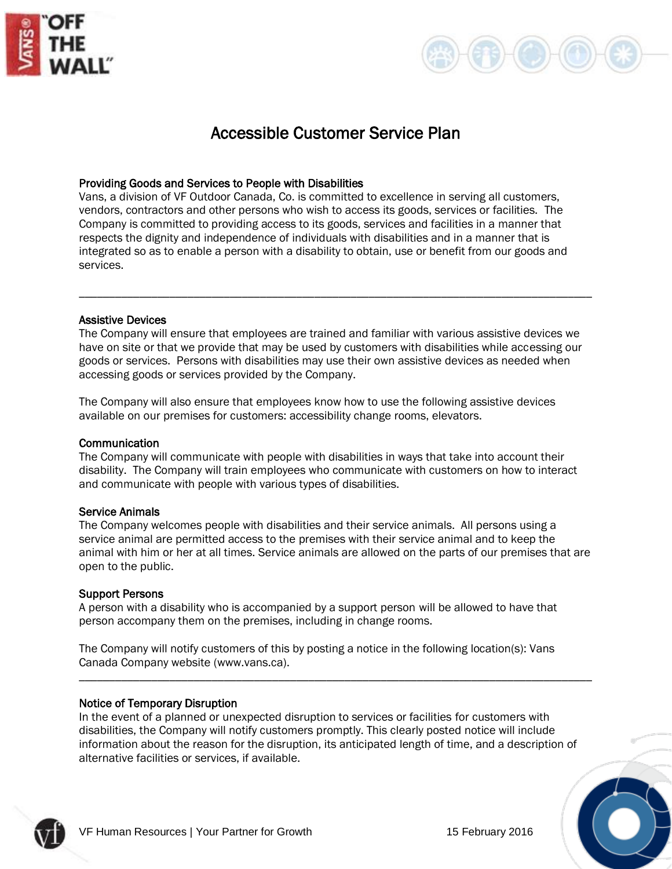



# Accessible Customer Service Plan

## Providing Goods and Services to People with Disabilities

Vans, a division of VF Outdoor Canada, Co. is committed to excellence in serving all customers, vendors, contractors and other persons who wish to access its goods, services or facilities. The Company is committed to providing access to its goods, services and facilities in a manner that respects the dignity and independence of individuals with disabilities and in a manner that is integrated so as to enable a person with a disability to obtain, use or benefit from our goods and services.

## Assistive Devices

The Company will ensure that employees are trained and familiar with various assistive devices we have on site or that we provide that may be used by customers with disabilities while accessing our goods or services. Persons with disabilities may use their own assistive devices as needed when accessing goods or services provided by the Company.

\_\_\_\_\_\_\_\_\_\_\_\_\_\_\_\_\_\_\_\_\_\_\_\_\_\_\_\_\_\_\_\_\_\_\_\_\_\_\_\_\_\_\_\_\_\_\_\_\_\_\_\_\_\_\_\_\_\_\_\_\_\_\_\_\_\_\_\_\_\_\_\_\_\_\_\_\_\_\_\_\_\_\_\_\_

The Company will also ensure that employees know how to use the following assistive devices available on our premises for customers: accessibility change rooms, elevators.

## Communication

The Company will communicate with people with disabilities in ways that take into account their disability. The Company will train employees who communicate with customers on how to interact and communicate with people with various types of disabilities.

## Service Animals

The Company welcomes people with disabilities and their service animals. All persons using a service animal are permitted access to the premises with their service animal and to keep the animal with him or her at all times. Service animals are allowed on the parts of our premises that are open to the public.

## Support Persons

A person with a disability who is accompanied by a support person will be allowed to have that person accompany them on the premises, including in change rooms.

The Company will notify customers of this by posting a notice in the following location(s): Vans Canada Company website (www.vans.ca).

## Notice of Temporary Disruption

In the event of a planned or unexpected disruption to services or facilities for customers with disabilities, the Company will notify customers promptly. This clearly posted notice will include information about the reason for the disruption, its anticipated length of time, and a description of alternative facilities or services, if available.

\_\_\_\_\_\_\_\_\_\_\_\_\_\_\_\_\_\_\_\_\_\_\_\_\_\_\_\_\_\_\_\_\_\_\_\_\_\_\_\_\_\_\_\_\_\_\_\_\_\_\_\_\_\_\_\_\_\_\_\_\_\_\_\_\_\_\_\_\_\_\_\_\_\_\_\_\_\_\_\_\_\_\_\_\_



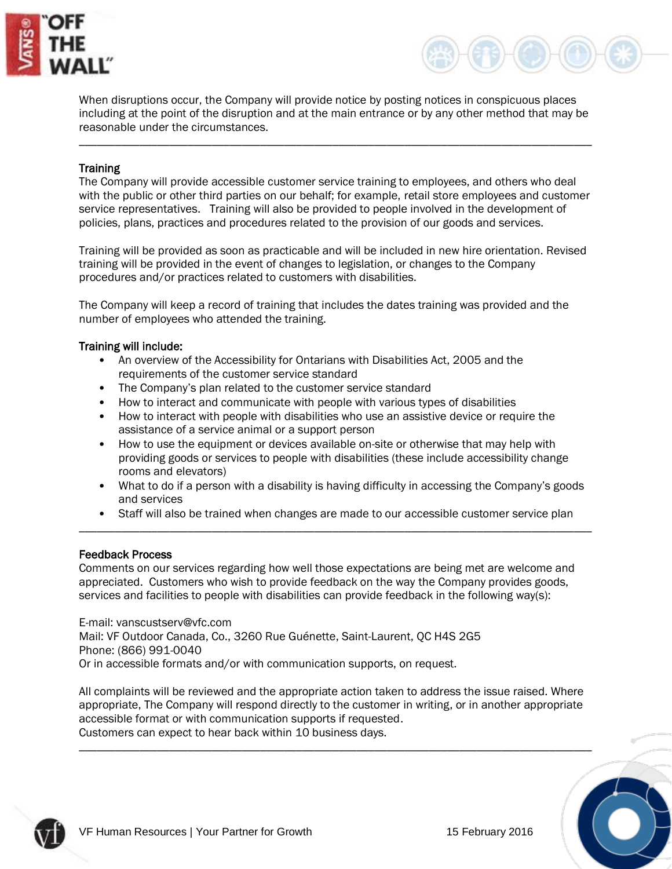



When disruptions occur, the Company will provide notice by posting notices in conspicuous places including at the point of the disruption and at the main entrance or by any other method that may be reasonable under the circumstances.

\_\_\_\_\_\_\_\_\_\_\_\_\_\_\_\_\_\_\_\_\_\_\_\_\_\_\_\_\_\_\_\_\_\_\_\_\_\_\_\_\_\_\_\_\_\_\_\_\_\_\_\_\_\_\_\_\_\_\_\_\_\_\_\_\_\_\_\_\_\_\_\_\_\_\_\_\_\_\_\_\_\_\_\_\_

## **Training**

The Company will provide accessible customer service training to employees, and others who deal with the public or other third parties on our behalf; for example, retail store employees and customer service representatives. Training will also be provided to people involved in the development of policies, plans, practices and procedures related to the provision of our goods and services.

Training will be provided as soon as practicable and will be included in new hire orientation. Revised training will be provided in the event of changes to legislation, or changes to the Company procedures and/or practices related to customers with disabilities.

The Company will keep a record of training that includes the dates training was provided and the number of employees who attended the training.

## Training will include:

- An overview of the Accessibility for Ontarians with Disabilities Act, 2005 and the requirements of the customer service standard
- The Company's plan related to the customer service standard
- How to interact and communicate with people with various types of disabilities
- How to interact with people with disabilities who use an assistive device or require the assistance of a service animal or a support person
- How to use the equipment or devices available on-site or otherwise that may help with providing goods or services to people with disabilities (these include accessibility change rooms and elevators)
- What to do if a person with a disability is having difficulty in accessing the Company's goods and services
- Staff will also be trained when changes are made to our accessible customer service plan \_\_\_\_\_\_\_\_\_\_\_\_\_\_\_\_\_\_\_\_\_\_\_\_\_\_\_\_\_\_\_\_\_\_\_\_\_\_\_\_\_\_\_\_\_\_\_\_\_\_\_\_\_\_\_\_\_\_\_\_\_\_\_\_\_\_\_\_\_\_\_\_\_\_\_\_\_\_\_\_\_\_\_\_\_

## Feedback Process

Comments on our services regarding how well those expectations are being met are welcome and appreciated. Customers who wish to provide feedback on the way the Company provides goods, services and facilities to people with disabilities can provide feedback in the following way(s):

E-mail: vanscustserv@vfc.com Mail: VF Outdoor Canada, Co., 3260 Rue Guénette, Saint-Laurent, QC H4S 2G5 Phone: (866) 991-0040 Or in accessible formats and/or with communication supports, on request.

All complaints will be reviewed and the appropriate action taken to address the issue raised. Where appropriate, The Company will respond directly to the customer in writing, or in another appropriate accessible format or with communication supports if requested. Customers can expect to hear back within 10 business days.

\_\_\_\_\_\_\_\_\_\_\_\_\_\_\_\_\_\_\_\_\_\_\_\_\_\_\_\_\_\_\_\_\_\_\_\_\_\_\_\_\_\_\_\_\_\_\_\_\_\_\_\_\_\_\_\_\_\_\_\_\_\_\_\_\_\_\_\_\_\_\_\_\_\_\_\_\_\_\_\_\_\_\_\_\_

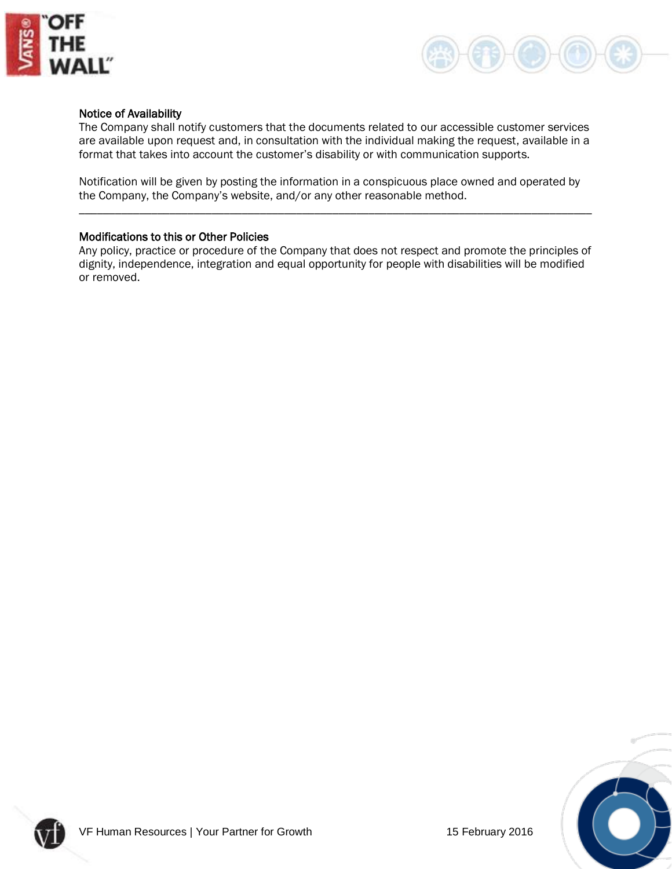



## Notice of Availability

The Company shall notify customers that the documents related to our accessible customer services are available upon request and, in consultation with the individual making the request, available in a format that takes into account the customer's disability or with communication supports.

Notification will be given by posting the information in a conspicuous place owned and operated by the Company, the Company's website, and/or any other reasonable method.

\_\_\_\_\_\_\_\_\_\_\_\_\_\_\_\_\_\_\_\_\_\_\_\_\_\_\_\_\_\_\_\_\_\_\_\_\_\_\_\_\_\_\_\_\_\_\_\_\_\_\_\_\_\_\_\_\_\_\_\_\_\_\_\_\_\_\_\_\_\_\_\_\_\_\_\_\_\_\_\_\_\_\_\_\_

## Modifications to this or Other Policies

Any policy, practice or procedure of the Company that does not respect and promote the principles of dignity, independence, integration and equal opportunity for people with disabilities will be modified or removed.



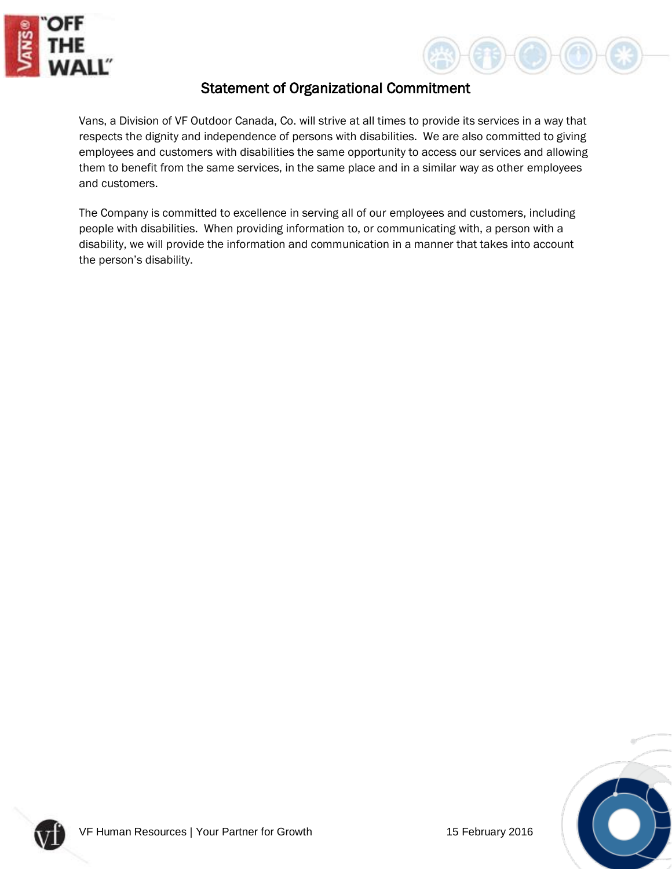



## Statement of Organizational Commitment

Vans, a Division of VF Outdoor Canada, Co. will strive at all times to provide its services in a way that respects the dignity and independence of persons with disabilities. We are also committed to giving employees and customers with disabilities the same opportunity to access our services and allowing them to benefit from the same services, in the same place and in a similar way as other employees and customers.

The Company is committed to excellence in serving all of our employees and customers, including people with disabilities. When providing information to, or communicating with, a person with a disability, we will provide the information and communication in a manner that takes into account the person's disability.



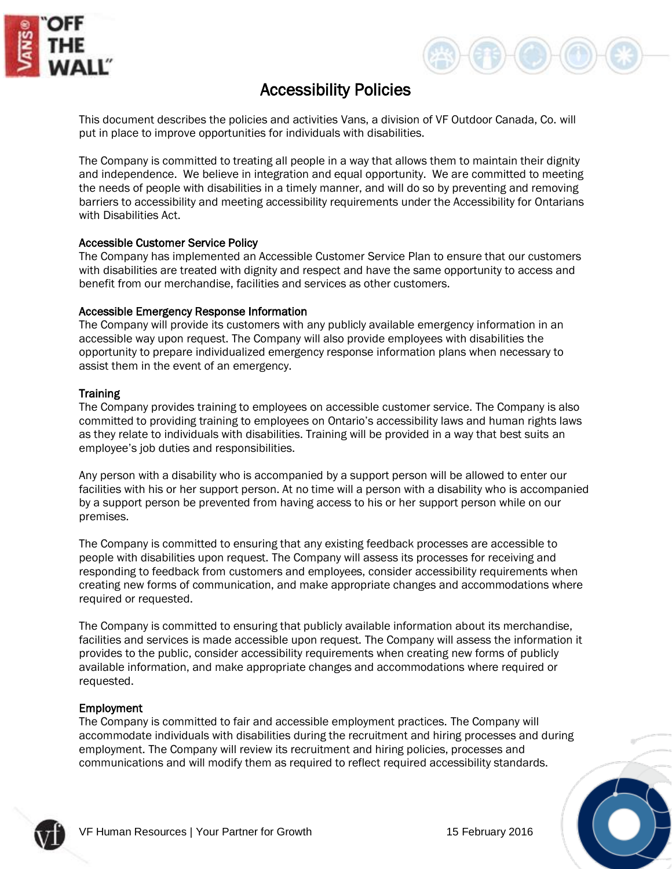



# Accessibility Policies

This document describes the policies and activities Vans, a division of VF Outdoor Canada, Co. will put in place to improve opportunities for individuals with disabilities.

The Company is committed to treating all people in a way that allows them to maintain their dignity and independence. We believe in integration and equal opportunity. We are committed to meeting the needs of people with disabilities in a timely manner, and will do so by preventing and removing barriers to accessibility and meeting accessibility requirements under the Accessibility for Ontarians with Disabilities Act.

## Accessible Customer Service Policy

The Company has implemented an Accessible Customer Service Plan to ensure that our customers with disabilities are treated with dignity and respect and have the same opportunity to access and benefit from our merchandise, facilities and services as other customers.

## Accessible Emergency Response Information

The Company will provide its customers with any publicly available emergency information in an accessible way upon request. The Company will also provide employees with disabilities the opportunity to prepare individualized emergency response information plans when necessary to assist them in the event of an emergency.

## **Training**

The Company provides training to employees on accessible customer service. The Company is also committed to providing training to employees on Ontario's accessibility laws and human rights laws as they relate to individuals with disabilities. Training will be provided in a way that best suits an employee's job duties and responsibilities.

Any person with a disability who is accompanied by a support person will be allowed to enter our facilities with his or her support person. At no time will a person with a disability who is accompanied by a support person be prevented from having access to his or her support person while on our premises.

The Company is committed to ensuring that any existing feedback processes are accessible to people with disabilities upon request. The Company will assess its processes for receiving and responding to feedback from customers and employees, consider accessibility requirements when creating new forms of communication, and make appropriate changes and accommodations where required or requested.

The Company is committed to ensuring that publicly available information about its merchandise, facilities and services is made accessible upon request. The Company will assess the information it provides to the public, consider accessibility requirements when creating new forms of publicly available information, and make appropriate changes and accommodations where required or requested.

## Employment

The Company is committed to fair and accessible employment practices. The Company will accommodate individuals with disabilities during the recruitment and hiring processes and during employment. The Company will review its recruitment and hiring policies, processes and communications and will modify them as required to reflect required accessibility standards.

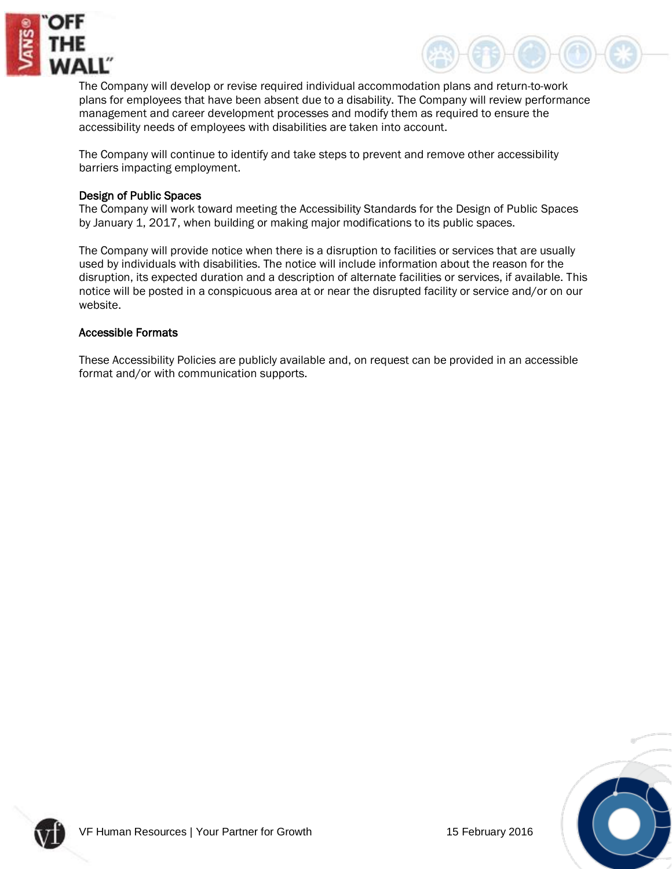



The Company will develop or revise required individual accommodation plans and return-to-work plans for employees that have been absent due to a disability. The Company will review performance management and career development processes and modify them as required to ensure the accessibility needs of employees with disabilities are taken into account.

The Company will continue to identify and take steps to prevent and remove other accessibility barriers impacting employment.

## Design of Public Spaces

The Company will work toward meeting the Accessibility Standards for the Design of Public Spaces by January 1, 2017, when building or making major modifications to its public spaces.

The Company will provide notice when there is a disruption to facilities or services that are usually used by individuals with disabilities. The notice will include information about the reason for the disruption, its expected duration and a description of alternate facilities or services, if available. This notice will be posted in a conspicuous area at or near the disrupted facility or service and/or on our website.

## Accessible Formats

These Accessibility Policies are publicly available and, on request can be provided in an accessible format and/or with communication supports.



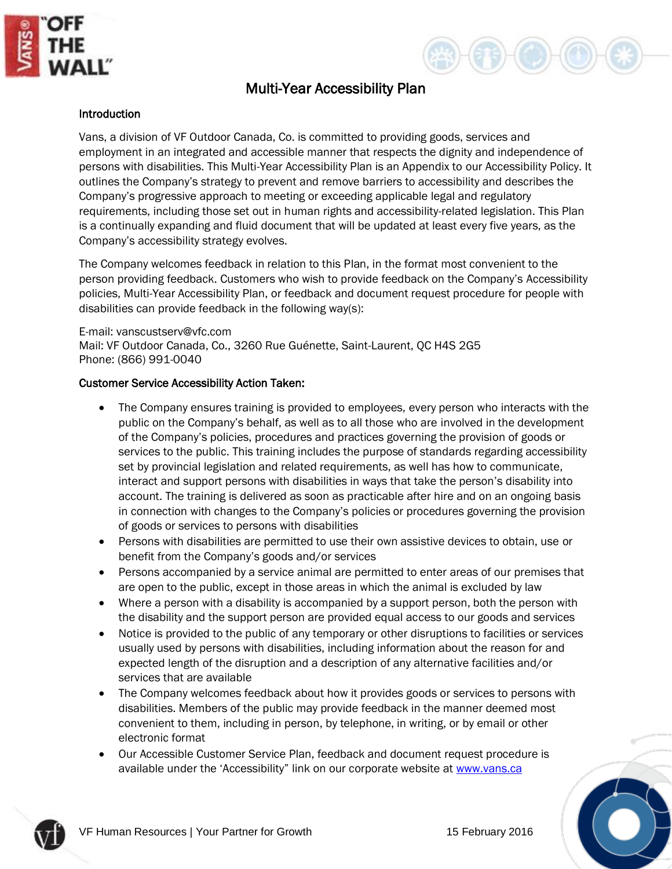



## Multi-Year Accessibility Plan

## Introduction

Vans, a division of VF Outdoor Canada, Co. is committed to providing goods, services and employment in an integrated and accessible manner that respects the dignity and independence of persons with disabilities. This Multi-Year Accessibility Plan is an Appendix to our Accessibility Policy. It outlines the Company's strategy to prevent and remove barriers to accessibility and describes the Company's progressive approach to meeting or exceeding applicable legal and regulatory requirements, including those set out in human rights and accessibility-related legislation. This Plan is a continually expanding and fluid document that will be updated at least every five years, as the Company's accessibility strategy evolves.

The Company welcomes feedback in relation to this Plan, in the format most convenient to the person providing feedback. Customers who wish to provide feedback on the Company's Accessibility policies, Multi-Year Accessibility Plan, or feedback and document request procedure for people with disabilities can provide feedback in the following way(s):

E-mail: vanscustserv@vfc.com Mail: VF Outdoor Canada, Co., 3260 Rue Guénette, Saint-Laurent, QC H4S 2G5 Phone: (866) 991-0040

#### Customer Service Accessibility Action Taken:

- The Company ensures training is provided to employees, every person who interacts with the public on the Company's behalf, as well as to all those who are involved in the development of the Company's policies, procedures and practices governing the provision of goods or services to the public. This training includes the purpose of standards regarding accessibility set by provincial legislation and related requirements, as well has how to communicate, interact and support persons with disabilities in ways that take the person's disability into account. The training is delivered as soon as practicable after hire and on an ongoing basis in connection with changes to the Company's policies or procedures governing the provision of goods or services to persons with disabilities
- Persons with disabilities are permitted to use their own assistive devices to obtain, use or benefit from the Company's goods and/or services
- Persons accompanied by a service animal are permitted to enter areas of our premises that are open to the public, except in those areas in which the animal is excluded by law
- Where a person with a disability is accompanied by a support person, both the person with the disability and the support person are provided equal access to our goods and services
- Notice is provided to the public of any temporary or other disruptions to facilities or services usually used by persons with disabilities, including information about the reason for and expected length of the disruption and a description of any alternative facilities and/or services that are available
- The Company welcomes feedback about how it provides goods or services to persons with disabilities. Members of the public may provide feedback in the manner deemed most convenient to them, including in person, by telephone, in writing, or by email or other electronic format
- Our Accessible Customer Service Plan, feedback and document request procedure is available under the 'Accessibility" link on our corporate website at [www.vans.ca](http://www.vans.ca/)



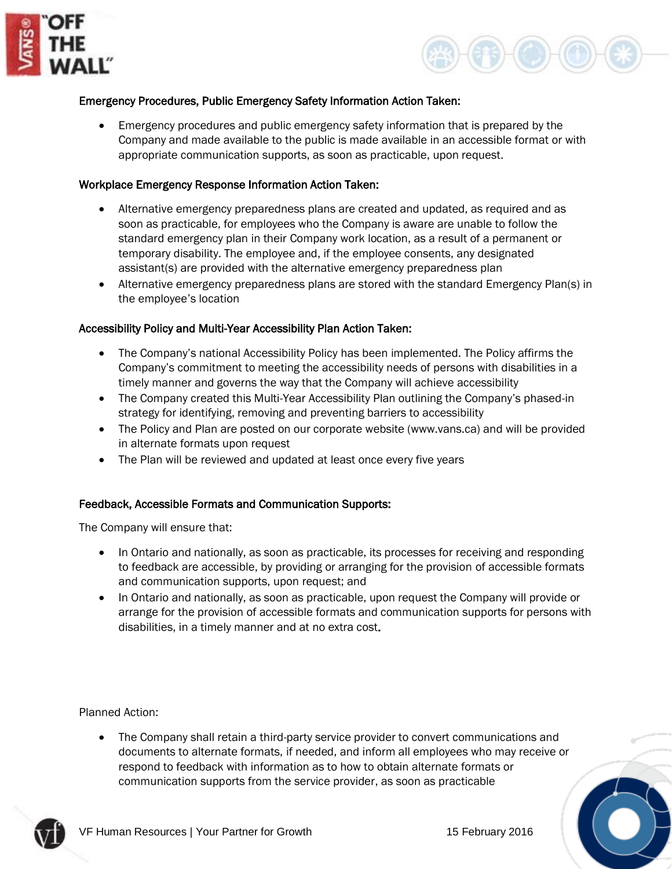



## Emergency Procedures, Public Emergency Safety Information Action Taken:

• Emergency procedures and public emergency safety information that is prepared by the Company and made available to the public is made available in an accessible format or with appropriate communication supports, as soon as practicable, upon request.

#### Workplace Emergency Response Information Action Taken:

- Alternative emergency preparedness plans are created and updated, as required and as soon as practicable, for employees who the Company is aware are unable to follow the standard emergency plan in their Company work location, as a result of a permanent or temporary disability. The employee and, if the employee consents, any designated assistant(s) are provided with the alternative emergency preparedness plan
- Alternative emergency preparedness plans are stored with the standard Emergency Plan(s) in the employee's location

#### Accessibility Policy and Multi-Year Accessibility Plan Action Taken:

- The Company's national Accessibility Policy has been implemented. The Policy affirms the Company's commitment to meeting the accessibility needs of persons with disabilities in a timely manner and governs the way that the Company will achieve accessibility
- The Company created this Multi-Year Accessibility Plan outlining the Company's phased-in strategy for identifying, removing and preventing barriers to accessibility
- The Policy and Plan are posted on our corporate website (www.vans.ca) and will be provided in alternate formats upon request
- The Plan will be reviewed and updated at least once every five years

#### Feedback, Accessible Formats and Communication Supports:

The Company will ensure that:

- In Ontario and nationally, as soon as practicable, its processes for receiving and responding to feedback are accessible, by providing or arranging for the provision of accessible formats and communication supports, upon request; and
- In Ontario and nationally, as soon as practicable, upon request the Company will provide or arrange for the provision of accessible formats and communication supports for persons with disabilities, in a timely manner and at no extra cost.

Planned Action:

• The Company shall retain a third-party service provider to convert communications and documents to alternate formats, if needed, and inform all employees who may receive or respond to feedback with information as to how to obtain alternate formats or communication supports from the service provider, as soon as practicable

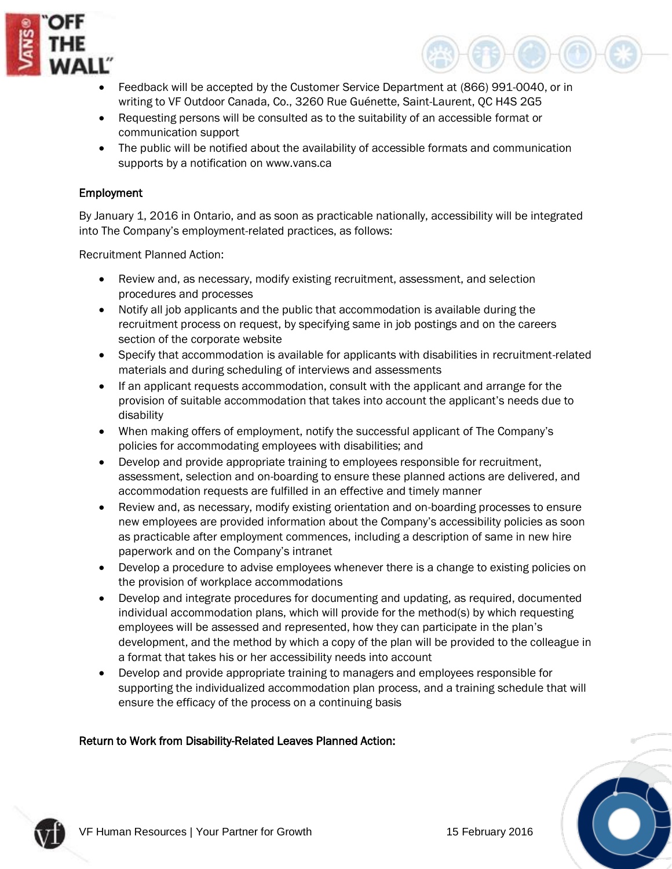



- Feedback will be accepted by the Customer Service Department at (866) 991-0040, or in writing to VF Outdoor Canada, Co., 3260 Rue Guénette, Saint-Laurent, QC H4S 2G5
- Requesting persons will be consulted as to the suitability of an accessible format or communication support
- The public will be notified about the availability of accessible formats and communication supports by a notification on www.vans.ca

## Employment

By January 1, 2016 in Ontario, and as soon as practicable nationally, accessibility will be integrated into The Company's employment-related practices, as follows:

Recruitment Planned Action:

- Review and, as necessary, modify existing recruitment, assessment, and selection procedures and processes
- Notify all job applicants and the public that accommodation is available during the recruitment process on request, by specifying same in job postings and on the careers section of the corporate website
- Specify that accommodation is available for applicants with disabilities in recruitment-related materials and during scheduling of interviews and assessments
- If an applicant requests accommodation, consult with the applicant and arrange for the provision of suitable accommodation that takes into account the applicant's needs due to disability
- When making offers of employment, notify the successful applicant of The Company's policies for accommodating employees with disabilities; and
- Develop and provide appropriate training to employees responsible for recruitment, assessment, selection and on-boarding to ensure these planned actions are delivered, and accommodation requests are fulfilled in an effective and timely manner
- Review and, as necessary, modify existing orientation and on-boarding processes to ensure new employees are provided information about the Company's accessibility policies as soon as practicable after employment commences, including a description of same in new hire paperwork and on the Company's intranet
- Develop a procedure to advise employees whenever there is a change to existing policies on the provision of workplace accommodations
- Develop and integrate procedures for documenting and updating, as required, documented individual accommodation plans, which will provide for the method(s) by which requesting employees will be assessed and represented, how they can participate in the plan's development, and the method by which a copy of the plan will be provided to the colleague in a format that takes his or her accessibility needs into account
- Develop and provide appropriate training to managers and employees responsible for supporting the individualized accommodation plan process, and a training schedule that will ensure the efficacy of the process on a continuing basis

## Return to Work from Disability-Related Leaves Planned Action:



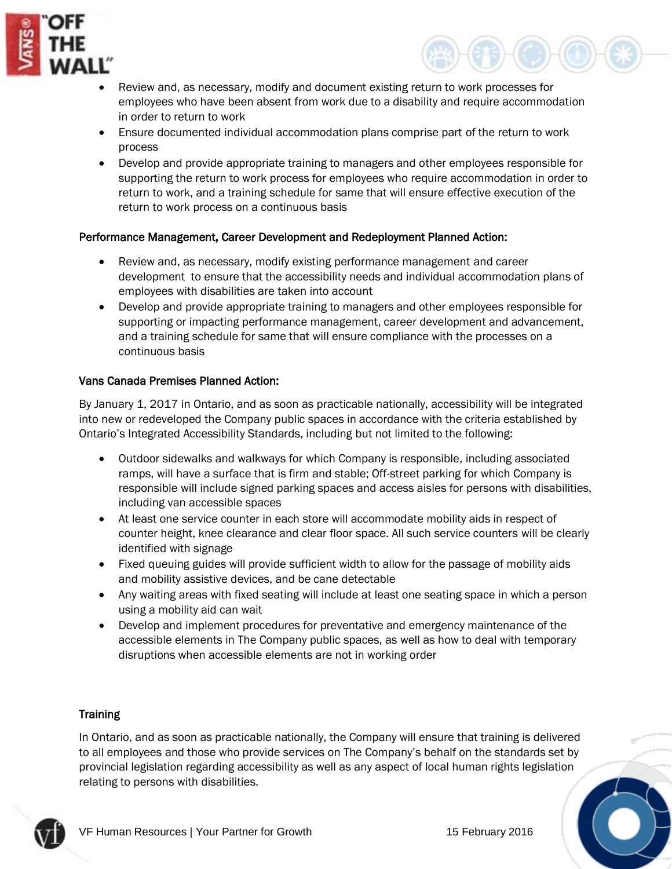



- Review and, as necessary, modify and document existing return to work processes for employees who have been absent from work due to a disability and require accommodation in order to return to work
- Ensure documented individual accommodation plans comprise part of the return to work process
- Develop and provide appropriate training to managers and other employees responsible for supporting the return to work process for employees who require accommodation in order to return to work, and a training schedule for same that will ensure effective execution of the return to work process on a continuous basis

## Performance Management, Career Development and Redeployment Planned Action:

- Review and, as necessary, modify existing performance management and career development to ensure that the accessibility needs and individual accommodation plans of employees with disabilities are taken into account
- Develop and provide appropriate training to managers and other employees responsible for supporting or impacting performance management, career development and advancement, and a training schedule for same that will ensure compliance with the processes on a continuous basis

## Vans Canada Premises Planned Action:

By January 1, 2017 in Ontario, and as soon as practicable nationally, accessibility will be integrated into new or redeveloped the Company public spaces in accordance with the criteria established by Ontario's Integrated Accessibility Standards, including but not limited to the following:

- Outdoor sidewalks and walkways for which Company is responsible, including associated ramps, will have a surface that is firm and stable; Off-street parking for which Company is responsible will include signed parking spaces and access aisles for persons with disabilities, including van accessible spaces
- At least one service counter in each store will accommodate mobility aids in respect of counter height, knee clearance and clear floor space. All such service counters will be clearly identified with signage
- Fixed queuing guides will provide sufficient width to allow for the passage of mobility aids and mobility assistive devices, and be cane detectable
- Any waiting areas with fixed seating will include at least one seating space in which a person using a mobility aid can wait
- Develop and implement procedures for preventative and emergency maintenance of the accessible elements in The Company public spaces, as well as how to deal with temporary disruptions when accessible elements are not in working order

## **Training**

In Ontario, and as soon as practicable nationally, the Company will ensure that training is delivered to all employees and those who provide services on The Company's behalf on the standards set by provincial legislation regarding accessibility as well as any aspect of local human rights legislation relating to persons with disabilities.